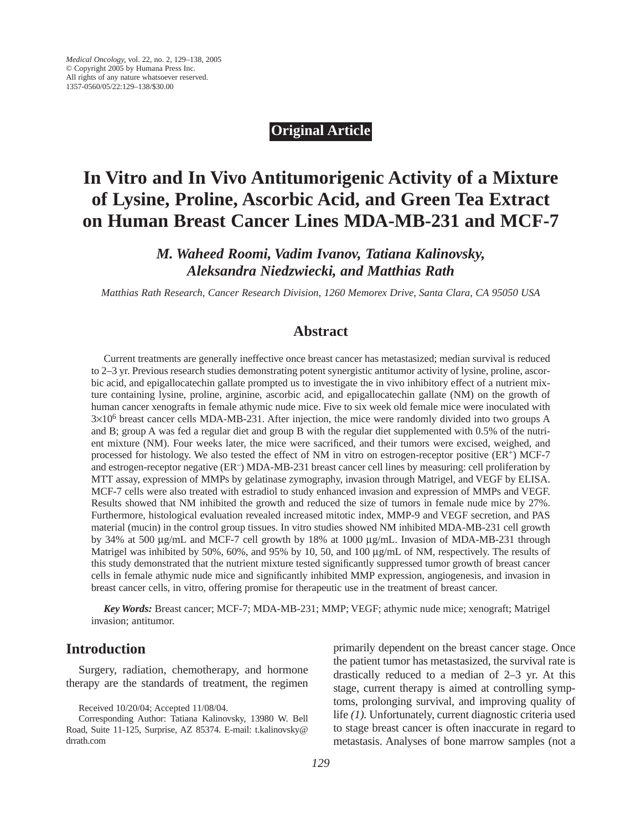# **Original Article**

# **In Vitro and In Vivo Antitumorigenic Activity of a Mixture of Lysine, Proline, Ascorbic Acid, and Green Tea Extract on Human Breast Cancer Lines MDA-MB-231 and MCF-7**

*M. Waheed Roomi, Vadim Ivanov, Tatiana Kalinovsky, Aleksandra Niedzwiecki, and Matthias Rath*

*Matthias Rath Research, Cancer Research Division, 1260 Memorex Drive, Santa Clara, CA 95050 USA*

# **Abstract**

Current treatments are generally ineffective once breast cancer has metastasized; median survival is reduced to 2–3 yr. Previous research studies demonstrating potent synergistic antitumor activity of lysine, proline, ascorbic acid, and epigallocatechin gallate prompted us to investigate the in vivo inhibitory effect of a nutrient mixture containing lysine, proline, arginine, ascorbic acid, and epigallocatechin gallate (NM) on the growth of human cancer xenografts in female athymic nude mice. Five to six week old female mice were inoculated with 3×106 breast cancer cells MDA-MB-231. After injection, the mice were randomly divided into two groups A and B; group A was fed a regular diet and group B with the regular diet supplemented with 0.5% of the nutrient mixture (NM). Four weeks later, the mice were sacrificed, and their tumors were excised, weighed, and processed for histology. We also tested the effect of NM in vitro on estrogen-receptor positive (ER<sup>+</sup>) MCF-7 and estrogen-receptor negative (ER<sup>-</sup>) MDA-MB-231 breast cancer cell lines by measuring: cell proliferation by MTT assay, expression of MMPs by gelatinase zymography, invasion through Matrigel, and VEGF by ELISA. MCF-7 cells were also treated with estradiol to study enhanced invasion and expression of MMPs and VEGF. Results showed that NM inhibited the growth and reduced the size of tumors in female nude mice by 27%. Furthermore, histological evaluation revealed increased mitotic index, MMP-9 and VEGF secretion, and PAS material (mucin) in the control group tissues. In vitro studies showed NM inhibited MDA-MB-231 cell growth by 34% at 500 µg/mL and MCF-7 cell growth by 18% at 1000 µg/mL. Invasion of MDA-MB-231 through Matrigel was inhibited by 50%, 60%, and 95% by 10, 50, and 100  $\mu$ g/mL of NM, respectively. The results of this study demonstrated that the nutrient mixture tested significantly suppressed tumor growth of breast cancer cells in female athymic nude mice and significantly inhibited MMP expression, angiogenesis, and invasion in breast cancer cells, in vitro, offering promise for therapeutic use in the treatment of breast cancer.

*Key Words:* Breast cancer; MCF-7; MDA-MB-231; MMP; VEGF; athymic nude mice; xenograft; Matrigel invasion; antitumor.

# **Introduction**

Surgery, radiation, chemotherapy, and hormone therapy are the standards of treatment, the regimen

primarily dependent on the breast cancer stage. Once the patient tumor has metastasized, the survival rate is drastically reduced to a median of 2–3 yr. At this stage, current therapy is aimed at controlling symptoms, prolonging survival, and improving quality of life *(1).* Unfortunately, current diagnostic criteria used to stage breast cancer is often inaccurate in regard to metastasis. Analyses of bone marrow samples (not a

Received 10/20/04; Accepted 11/08/04.

Corresponding Author: Tatiana Kalinovsky, 13980 W. Bell Road, Suite 11-125, Surprise, AZ 85374. E-mail: t.kalinovsky@ drrath.com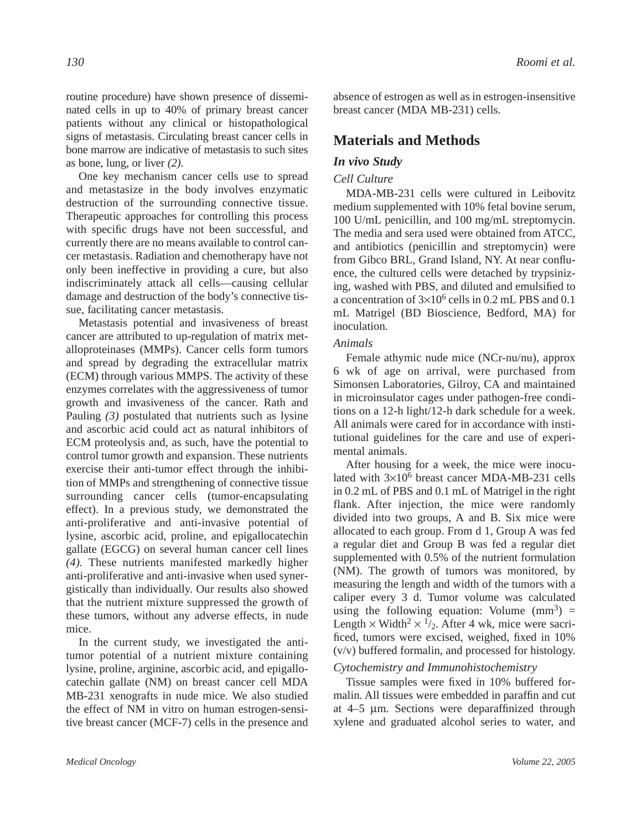routine procedure) have shown presence of disseminated cells in up to 40% of primary breast cancer patients without any clinical or histopathological signs of metastasis. Circulating breast cancer cells in bone marrow are indicative of metastasis to such sites as bone, lung, or liver *(2).*

One key mechanism cancer cells use to spread and metastasize in the body involves enzymatic destruction of the surrounding connective tissue. Therapeutic approaches for controlling this process with specific drugs have not been successful, and currently there are no means available to control cancer metastasis. Radiation and chemotherapy have not only been ineffective in providing a cure, but also indiscriminately attack all cells—causing cellular damage and destruction of the body's connective tissue, facilitating cancer metastasis.

Metastasis potential and invasiveness of breast cancer are attributed to up-regulation of matrix metalloproteinases (MMPs). Cancer cells form tumors and spread by degrading the extracellular matrix (ECM) through various MMPS. The activity of these enzymes correlates with the aggressiveness of tumor growth and invasiveness of the cancer. Rath and Pauling *(3)* postulated that nutrients such as lysine and ascorbic acid could act as natural inhibitors of ECM proteolysis and, as such, have the potential to control tumor growth and expansion. These nutrients exercise their anti-tumor effect through the inhibition of MMPs and strengthening of connective tissue surrounding cancer cells (tumor-encapsulating effect). In a previous study, we demonstrated the anti-proliferative and anti-invasive potential of lysine, ascorbic acid, proline, and epigallocatechin gallate (EGCG) on several human cancer cell lines *(4).* These nutrients manifested markedly higher anti-proliferative and anti-invasive when used synergistically than individually. Our results also showed that the nutrient mixture suppressed the growth of these tumors, without any adverse effects, in nude mice.

In the current study, we investigated the antitumor potential of a nutrient mixture containing lysine, proline, arginine, ascorbic acid, and epigallocatechin gallate (NM) on breast cancer cell MDA MB-231 xenografts in nude mice. We also studied the effect of NM in vitro on human estrogen-sensitive breast cancer (MCF-7) cells in the presence and absence of estrogen as well as in estrogen-insensitive breast cancer (MDA MB-231) cells.

# **Materials and Methods**

## *In vivo Study*

## *Cell Culture*

MDA-MB-231 cells were cultured in Leibovitz medium supplemented with 10% fetal bovine serum, 100 U/mL penicillin, and 100 mg/mL streptomycin. The media and sera used were obtained from ATCC, and antibiotics (penicillin and streptomycin) were from Gibco BRL, Grand Island, NY. At near confluence, the cultured cells were detached by trypsinizing, washed with PBS, and diluted and emulsified to a concentration of  $3\times10^6$  cells in 0.2 mL PBS and 0.1 mL Matrigel (BD Bioscience, Bedford, MA) for inoculation.

## *Animals*

Female athymic nude mice (NCr-nu/nu), approx 6 wk of age on arrival, were purchased from Simonsen Laboratories, Gilroy, CA and maintained in microinsulator cages under pathogen-free conditions on a 12-h light/12-h dark schedule for a week. All animals were cared for in accordance with institutional guidelines for the care and use of experimental animals.

After housing for a week, the mice were inoculated with 3×106 breast cancer MDA-MB-231 cells in 0.2 mL of PBS and 0.1 mL of Matrigel in the right flank. After injection, the mice were randomly divided into two groups, A and B. Six mice were allocated to each group. From d 1, Group A was fed a regular diet and Group B was fed a regular diet supplemented with 0.5% of the nutrient formulation (NM). The growth of tumors was monitored, by measuring the length and width of the tumors with a caliper every 3 d. Tumor volume was calculated using the following equation: Volume  $(mm^3)$  = Length  $\times$  Width<sup>2</sup>  $\times$  <sup>1</sup>/2. After 4 wk, mice were sacrificed, tumors were excised, weighed, fixed in 10% (v/v) buffered formalin, and processed for histology.

# *Cytochemistry and Immunohistochemistry*

Tissue samples were fixed in 10% buffered formalin. All tissues were embedded in paraffin and cut at 4–5 µm. Sections were deparaffinized through xylene and graduated alcohol series to water, and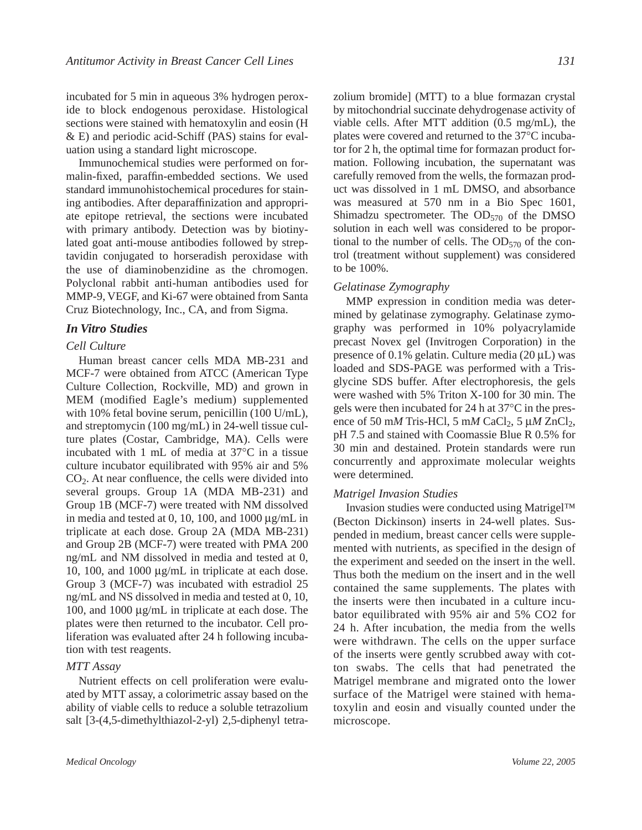incubated for 5 min in aqueous 3% hydrogen peroxide to block endogenous peroxidase. Histological sections were stained with hematoxylin and eosin (H & E) and periodic acid-Schiff (PAS) stains for evaluation using a standard light microscope.

Immunochemical studies were performed on formalin-fixed, paraffin-embedded sections. We used standard immunohistochemical procedures for staining antibodies. After deparaffinization and appropriate epitope retrieval, the sections were incubated with primary antibody. Detection was by biotinylated goat anti-mouse antibodies followed by streptavidin conjugated to horseradish peroxidase with the use of diaminobenzidine as the chromogen. Polyclonal rabbit anti-human antibodies used for MMP-9, VEGF, and Ki-67 were obtained from Santa Cruz Biotechnology, Inc., CA, and from Sigma.

## *In Vitro Studies*

### *Cell Culture*

Human breast cancer cells MDA MB-231 and MCF-7 were obtained from ATCC (American Type Culture Collection, Rockville, MD) and grown in MEM (modified Eagle's medium) supplemented with 10% fetal bovine serum, penicillin (100 U/mL), and streptomycin (100 mg/mL) in 24-well tissue culture plates (Costar, Cambridge, MA). Cells were incubated with 1 mL of media at 37°C in a tissue culture incubator equilibrated with 95% air and 5% CO2. At near confluence, the cells were divided into several groups. Group 1A (MDA MB-231) and Group 1B (MCF-7) were treated with NM dissolved in media and tested at 0, 10, 100, and 1000  $\mu$ g/mL in triplicate at each dose. Group 2A (MDA MB-231) and Group 2B (MCF-7) were treated with PMA 200 ng/mL and NM dissolved in media and tested at 0, 10, 100, and 1000 µg/mL in triplicate at each dose. Group 3 (MCF-7) was incubated with estradiol 25 ng/mL and NS dissolved in media and tested at 0, 10, 100, and 1000 µg/mL in triplicate at each dose. The plates were then returned to the incubator. Cell proliferation was evaluated after 24 h following incubation with test reagents.

#### *MTT Assay*

Nutrient effects on cell proliferation were evaluated by MTT assay, a colorimetric assay based on the ability of viable cells to reduce a soluble tetrazolium salt [3-(4,5-dimethylthiazol-2-yl) 2,5-diphenyl tetra-

zolium bromide] (MTT) to a blue formazan crystal by mitochondrial succinate dehydrogenase activity of viable cells. After MTT addition (0.5 mg/mL), the plates were covered and returned to the 37°C incubator for 2 h, the optimal time for formazan product formation. Following incubation, the supernatant was carefully removed from the wells, the formazan product was dissolved in 1 mL DMSO, and absorbance was measured at 570 nm in a Bio Spec 1601, Shimadzu spectrometer. The  $OD<sub>570</sub>$  of the DMSO solution in each well was considered to be proportional to the number of cells. The  $OD<sub>570</sub>$  of the control (treatment without supplement) was considered to be 100%.

### *Gelatinase Zymography*

MMP expression in condition media was determined by gelatinase zymography. Gelatinase zymography was performed in 10% polyacrylamide precast Novex gel (Invitrogen Corporation) in the presence of 0.1% gelatin. Culture media  $(20 \mu L)$  was loaded and SDS-PAGE was performed with a Trisglycine SDS buffer. After electrophoresis, the gels were washed with 5% Triton X-100 for 30 min. The gels were then incubated for 24 h at 37°C in the presence of 50 m*M* Tris-HCl, 5 m*M* CaCl<sub>2</sub>, 5  $\mu$ *M* ZnCl<sub>2</sub>, pH 7.5 and stained with Coomassie Blue R 0.5% for 30 min and destained. Protein standards were run concurrently and approximate molecular weights were determined.

#### *Matrigel Invasion Studies*

Invasion studies were conducted using Matrigel™ (Becton Dickinson) inserts in 24-well plates. Suspended in medium, breast cancer cells were supplemented with nutrients, as specified in the design of the experiment and seeded on the insert in the well. Thus both the medium on the insert and in the well contained the same supplements. The plates with the inserts were then incubated in a culture incubator equilibrated with 95% air and 5% CO2 for 24 h. After incubation, the media from the wells were withdrawn. The cells on the upper surface of the inserts were gently scrubbed away with cotton swabs. The cells that had penetrated the Matrigel membrane and migrated onto the lower surface of the Matrigel were stained with hematoxylin and eosin and visually counted under the microscope.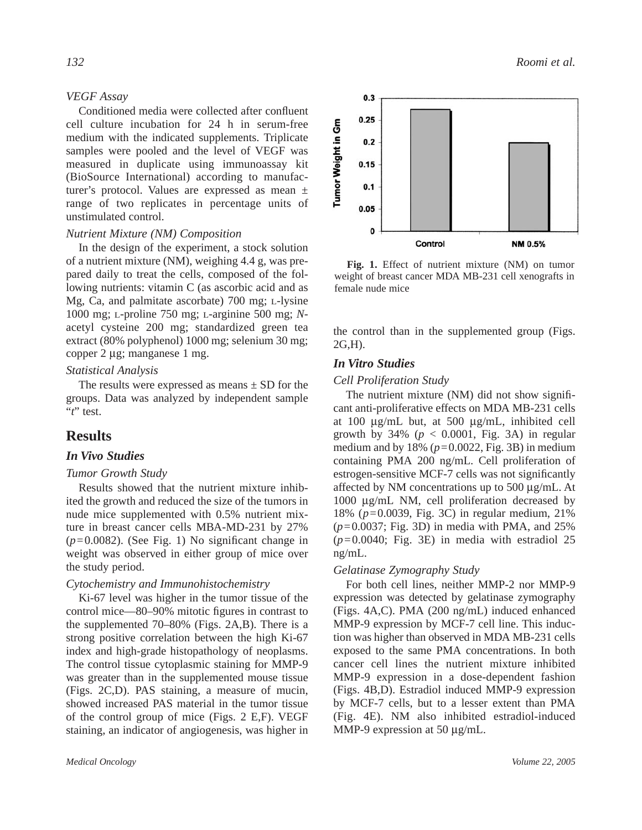#### *VEGF Assay*

Conditioned media were collected after confluent cell culture incubation for 24 h in serum-free medium with the indicated supplements. Triplicate samples were pooled and the level of VEGF was measured in duplicate using immunoassay kit (BioSource International) according to manufacturer's protocol. Values are expressed as mean ± range of two replicates in percentage units of unstimulated control.

#### *Nutrient Mixture (NM) Composition*

In the design of the experiment, a stock solution of a nutrient mixture (NM), weighing 4.4 g, was prepared daily to treat the cells, composed of the following nutrients: vitamin C (as ascorbic acid and as Mg, Ca, and palmitate ascorbate) 700 mg; L-lysine 1000 mg; L-proline 750 mg; L-arginine 500 mg; *N*acetyl cysteine 200 mg; standardized green tea extract (80% polyphenol) 1000 mg; selenium 30 mg; copper 2 µg; manganese 1 mg.

## *Statistical Analysis*

The results were expressed as means  $\pm$  SD for the groups. Data was analyzed by independent sample "*t*" test.

# **Results**

## *In Vivo Studies*

#### *Tumor Growth Study*

Results showed that the nutrient mixture inhibited the growth and reduced the size of the tumors in nude mice supplemented with 0.5% nutrient mixture in breast cancer cells MBA-MD-231 by 27%  $(p=0.0082)$ . (See Fig. 1) No significant change in weight was observed in either group of mice over the study period.

#### *Cytochemistry and Immunohistochemistry*

Ki-67 level was higher in the tumor tissue of the control mice—80–90% mitotic figures in contrast to the supplemented 70–80% (Figs. 2A,B). There is a strong positive correlation between the high Ki-67 index and high-grade histopathology of neoplasms. The control tissue cytoplasmic staining for MMP-9 was greater than in the supplemented mouse tissue (Figs. 2C,D). PAS staining, a measure of mucin, showed increased PAS material in the tumor tissue of the control group of mice (Figs. 2 E,F). VEGF staining, an indicator of angiogenesis, was higher in



**Fig. 1.** Effect of nutrient mixture (NM) on tumor weight of breast cancer MDA MB-231 cell xenografts in female nude mice

the control than in the supplemented group (Figs. 2G,H).

## *In Vitro Studies*

#### *Cell Proliferation Study*

The nutrient mixture (NM) did not show significant anti-proliferative effects on MDA MB-231 cells at 100 µg/mL but, at 500 µg/mL, inhibited cell growth by  $34\%$  ( $p < 0.0001$ , Fig. 3A) in regular medium and by  $18\%$  ( $p=0.0022$ , Fig. 3B) in medium containing PMA 200 ng/mL. Cell proliferation of estrogen-sensitive MCF-7 cells was not significantly affected by NM concentrations up to 500 µg/mL. At 1000 µg/mL NM, cell proliferation decreased by 18% (*p*=0.0039, Fig. 3C) in regular medium, 21% (*p*=0.0037; Fig. 3D) in media with PMA, and 25%  $(p=0.0040;$  Fig. 3E) in media with estradiol 25 ng/mL.

#### *Gelatinase Zymography Study*

For both cell lines, neither MMP-2 nor MMP-9 expression was detected by gelatinase zymography (Figs. 4A,C). PMA (200 ng/mL) induced enhanced MMP-9 expression by MCF-7 cell line. This induction was higher than observed in MDA MB-231 cells exposed to the same PMA concentrations. In both cancer cell lines the nutrient mixture inhibited MMP-9 expression in a dose-dependent fashion (Figs. 4B,D). Estradiol induced MMP-9 expression by MCF-7 cells, but to a lesser extent than PMA (Fig. 4E). NM also inhibited estradiol-induced MMP-9 expression at 50 µg/mL.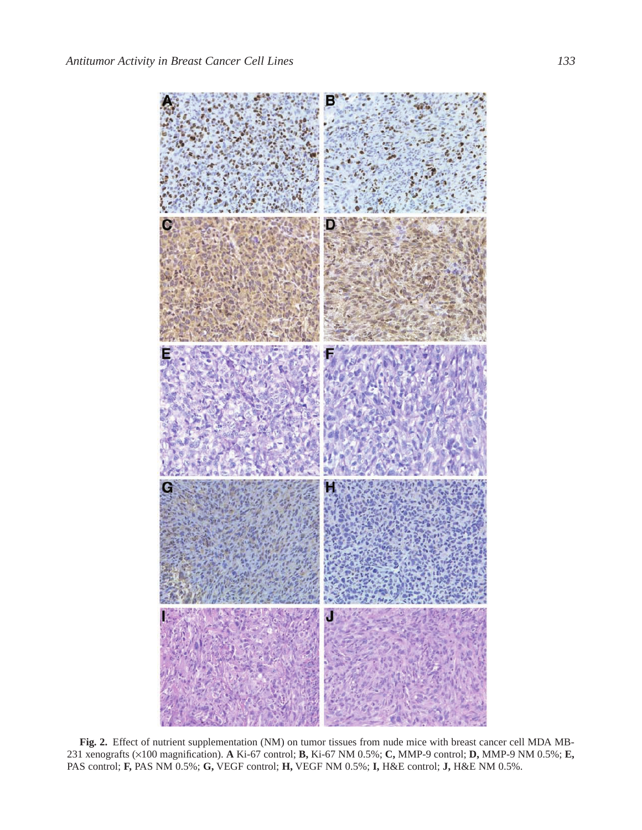

**Fig. 2.** Effect of nutrient supplementation (NM) on tumor tissues from nude mice with breast cancer cell MDA MB-231 xenografts (×100 magnification). **A** Ki-67 control; **B,** Ki-67 NM 0.5%; **C,** MMP-9 control; **D,** MMP-9 NM 0.5%; **E,** PAS control; **F,** PAS NM 0.5%; **G,** VEGF control; **H,** VEGF NM 0.5%; **I,** H&E control; **J,** H&E NM 0.5%.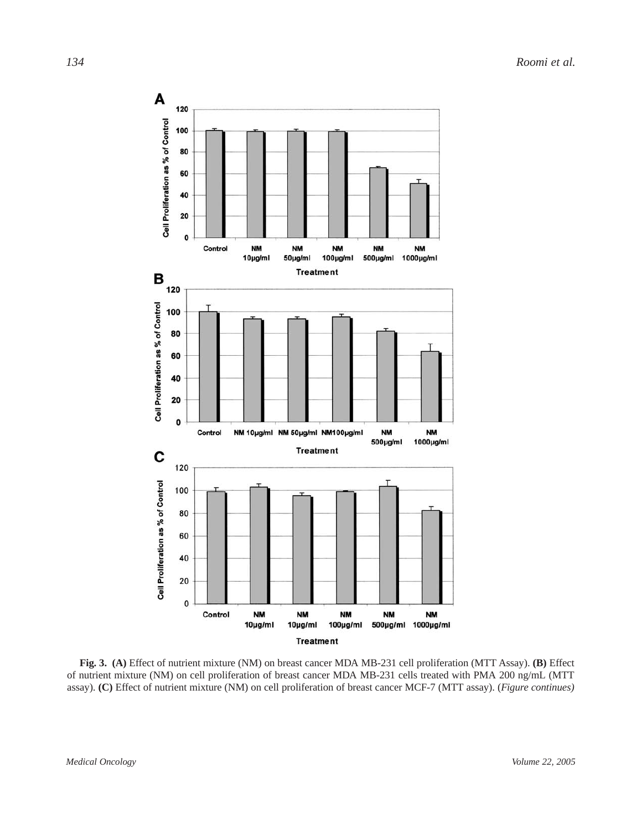

**Fig. 3. (A)** Effect of nutrient mixture (NM) on breast cancer MDA MB-231 cell proliferation (MTT Assay). **(B)** Effect of nutrient mixture (NM) on cell proliferation of breast cancer MDA MB-231 cells treated with PMA 200 ng/mL (MTT assay). **(C)** Effect of nutrient mixture (NM) on cell proliferation of breast cancer MCF-7 (MTT assay). (*Figure continues)*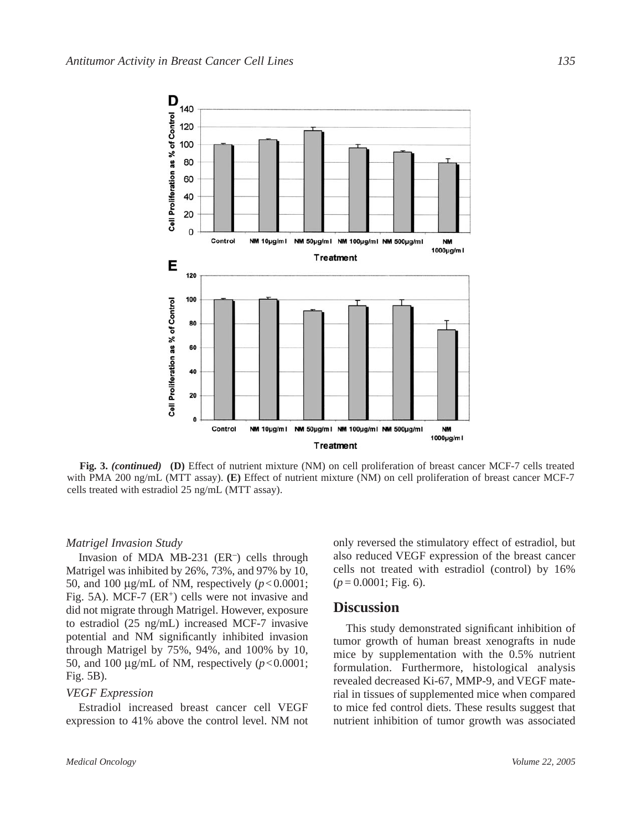

**Fig. 3.** *(continued)* **(D)** Effect of nutrient mixture (NM) on cell proliferation of breast cancer MCF-7 cells treated with PMA 200 ng/mL (MTT assay). **(E)** Effect of nutrient mixture (NM) on cell proliferation of breast cancer MCF-7 cells treated with estradiol 25 ng/mL (MTT assay).

#### *Matrigel Invasion Study*

Invasion of MDA MB-231  $(ER^-)$  cells through Matrigel was inhibited by 26%, 73%, and 97% by 10, 50, and 100  $\mu$ g/mL of NM, respectively ( $p < 0.0001$ ; Fig. 5A). MCF-7  $(ER^+)$  cells were not invasive and did not migrate through Matrigel. However, exposure to estradiol (25 ng/mL) increased MCF-7 invasive potential and NM significantly inhibited invasion through Matrigel by 75%, 94%, and 100% by 10, 50, and 100  $\mu$ g/mL of NM, respectively ( $p < 0.0001$ ; Fig. 5B).

#### *VEGF Expression*

Estradiol increased breast cancer cell VEGF expression to 41% above the control level. NM not only reversed the stimulatory effect of estradiol, but also reduced VEGF expression of the breast cancer cells not treated with estradiol (control) by 16% (*p* = 0.0001; Fig. 6).

# **Discussion**

This study demonstrated significant inhibition of tumor growth of human breast xenografts in nude mice by supplementation with the 0.5% nutrient formulation. Furthermore, histological analysis revealed decreased Ki-67, MMP-9, and VEGF material in tissues of supplemented mice when compared to mice fed control diets. These results suggest that nutrient inhibition of tumor growth was associated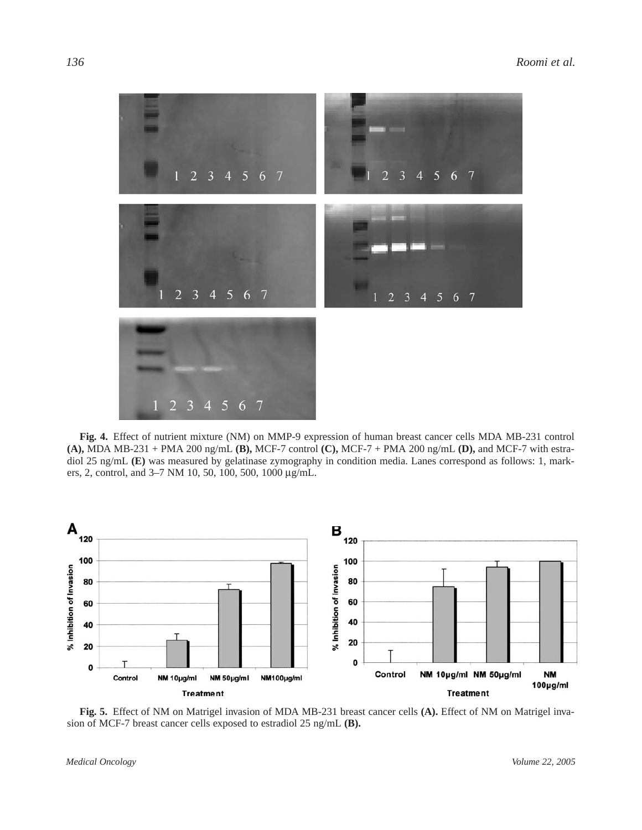

**Fig. 4.** Effect of nutrient mixture (NM) on MMP-9 expression of human breast cancer cells MDA MB-231 control **(A),** MDA MB-231 + PMA 200 ng/mL **(B),** MCF-7 control **(C),** MCF-7 + PMA 200 ng/mL **(D),** and MCF-7 with estradiol 25 ng/mL **(E)** was measured by gelatinase zymography in condition media. Lanes correspond as follows: 1, markers, 2, control, and 3–7 NM 10, 50, 100, 500, 1000 µg/mL.



**Fig. 5.** Effect of NM on Matrigel invasion of MDA MB-231 breast cancer cells **(A).** Effect of NM on Matrigel invasion of MCF-7 breast cancer cells exposed to estradiol 25 ng/mL **(B).**

*Medical Oncology Volume 22, 2005*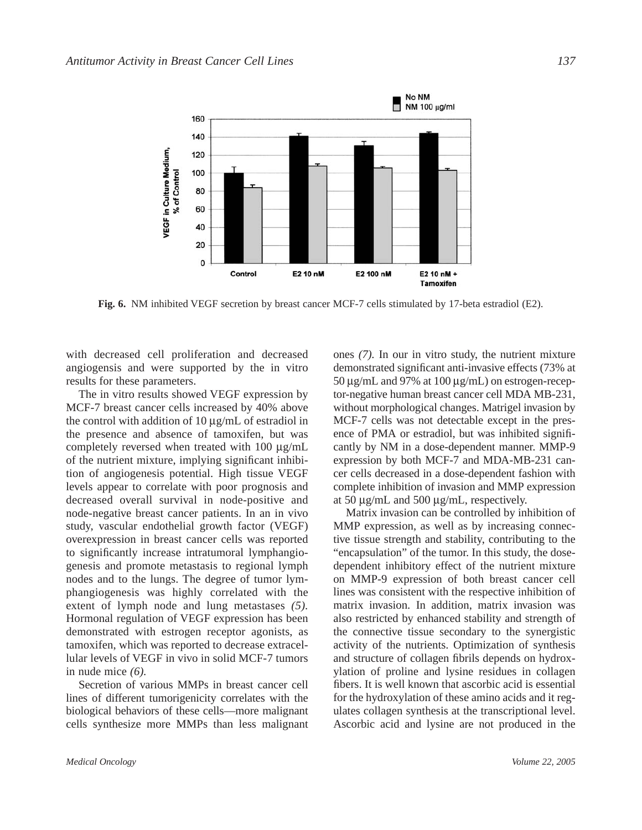

**Fig. 6.** NM inhibited VEGF secretion by breast cancer MCF-7 cells stimulated by 17-beta estradiol (E2).

with decreased cell proliferation and decreased angiogensis and were supported by the in vitro results for these parameters.

The in vitro results showed VEGF expression by MCF-7 breast cancer cells increased by 40% above the control with addition of 10 µg/mL of estradiol in the presence and absence of tamoxifen, but was completely reversed when treated with 100 µg/mL of the nutrient mixture, implying significant inhibition of angiogenesis potential. High tissue VEGF levels appear to correlate with poor prognosis and decreased overall survival in node-positive and node-negative breast cancer patients. In an in vivo study, vascular endothelial growth factor (VEGF) overexpression in breast cancer cells was reported to significantly increase intratumoral lymphangiogenesis and promote metastasis to regional lymph nodes and to the lungs. The degree of tumor lymphangiogenesis was highly correlated with the extent of lymph node and lung metastases *(5).* Hormonal regulation of VEGF expression has been demonstrated with estrogen receptor agonists, as tamoxifen, which was reported to decrease extracellular levels of VEGF in vivo in solid MCF-7 tumors in nude mice *(6).*

Secretion of various MMPs in breast cancer cell lines of different tumorigenicity correlates with the biological behaviors of these cells—more malignant cells synthesize more MMPs than less malignant

ones *(7).* In our in vitro study, the nutrient mixture demonstrated significant anti-invasive effects (73% at 50 µg/mL and 97% at 100 µg/mL) on estrogen-receptor-negative human breast cancer cell MDA MB-231, without morphological changes. Matrigel invasion by MCF-7 cells was not detectable except in the presence of PMA or estradiol, but was inhibited significantly by NM in a dose-dependent manner. MMP-9 expression by both MCF-7 and MDA-MB-231 cancer cells decreased in a dose-dependent fashion with complete inhibition of invasion and MMP expression at 50 µg/mL and 500 µg/mL, respectively.

Matrix invasion can be controlled by inhibition of MMP expression, as well as by increasing connective tissue strength and stability, contributing to the "encapsulation" of the tumor. In this study, the dosedependent inhibitory effect of the nutrient mixture on MMP-9 expression of both breast cancer cell lines was consistent with the respective inhibition of matrix invasion. In addition, matrix invasion was also restricted by enhanced stability and strength of the connective tissue secondary to the synergistic activity of the nutrients. Optimization of synthesis and structure of collagen fibrils depends on hydroxylation of proline and lysine residues in collagen fibers. It is well known that ascorbic acid is essential for the hydroxylation of these amino acids and it regulates collagen synthesis at the transcriptional level. Ascorbic acid and lysine are not produced in the